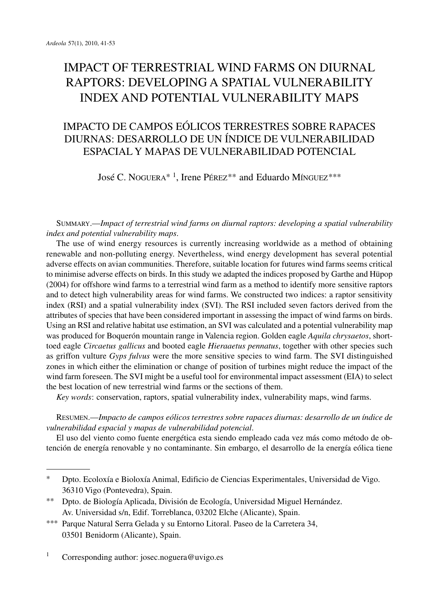# IMPACT OF TERRESTRIAL WIND FARMS ON DIURNAL RAPTORS: DEVELOPING A SPATIAL VULNERABILITY INDEX AND POTENTIAL VULNERABILITY MAPS

## IMPACTO DE CAMPOS EÓLICOS TERRESTRES SOBRE RAPACES DIURNAS: DESARROLLO DE UN ÍNDICE DE VULNERABILIDAD ESPACIAL Y MAPAS DE VULNERABILIDAD POTENCIAL

José C. NOGUERA\* <sup>1</sup> , Irene PÉREZ\*\* and Eduardo MÍNGUEZ\*\*\*

SUMMARY.—*Impact of terrestrial wind farms on diurnal raptors: developing a spatial vulnerability index and potential vulnerability maps*.

The use of wind energy resources is currently increasing worldwide as a method of obtaining renewable and non-polluting energy. Nevertheless, wind energy development has several potential adverse effects on avian communities. Therefore, suitable location for futures wind farms seems critical to minimise adverse effects on birds. In this study we adapted the indices proposed by Garthe and Hüpop (2004) for offshore wind farms to a terrestrial wind farm as a method to identify more sensitive raptors and to detect high vulnerability areas for wind farms. We constructed two indices: a raptor sensitivity index (RSI) and a spatial vulnerability index (SVI). The RSI included seven factors derived from the attributes of species that have been considered important in assessing the impact of wind farms on birds. Using an RSI and relative habitat use estimation, an SVI was calculated and a potential vulnerability map was produced for Boquerón mountain range in Valencia region. Golden eagle *Aquila chrysaetos*, shorttoed eagle *Circaetus gallicus* and booted eagle *Hieraaetus pennatus*, together with other species such as griffon vulture *Gyps fulvus* were the more sensitive species to wind farm. The SVI distinguished zones in which either the elimination or change of position of turbines might reduce the impact of the wind farm foreseen. The SVI might be a useful tool for environmental impact assessment (EIA) to select the best location of new terrestrial wind farms or the sections of them.

*Key words*: conservation, raptors, spatial vulnerability index, vulnerability maps, wind farms.

RESUMEN.—*Impacto de campos eólicos terrestres sobre rapaces diurnas: desarrollo de un índice de vulnerabilidad espacial y mapas de vulnerabilidad potencial*.

El uso del viento como fuente energética esta siendo empleado cada vez más como método de obtención de energía renovable y no contaminante. Sin embargo, el desarrollo de la energía eólica tiene

- \*\* Dpto. de Biología Aplicada, División de Ecología, Universidad Miguel Hernández. Av. Universidad s/n, Edif. Torreblanca, 03202 Elche (Alicante), Spain.
- \*\*\* Parque Natural Serra Gelada y su Entorno Litoral. Paseo de la Carretera 34, 03501 Benidorm (Alicante), Spain.

<sup>1</sup> Corresponding author: josec.noguera@uvigo.es

<sup>\*</sup> Dpto. Ecoloxía e Bioloxía Animal, Edificio de Ciencias Experimentales, Universidad de Vigo. 36310 Vigo (Pontevedra), Spain.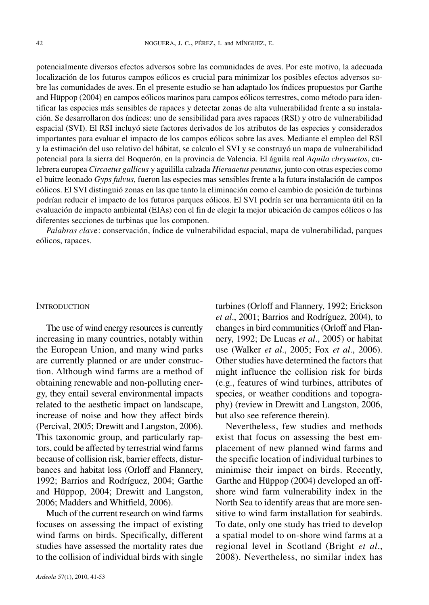potencialmente diversos efectos adversos sobre las comunidades de aves. Por este motivo, la adecuada localización de los futuros campos eólicos es crucial para minimizar los posibles efectos adversos sobre las comunidades de aves. En el presente estudio se han adaptado los índices propuestos por Garthe and Hüppop (2004) en campos eólicos marinos para campos eólicos terrestres, como método para identificar las especies más sensibles de rapaces y detectar zonas de alta vulnerabilidad frente a su instalación. Se desarrollaron dos índices: uno de sensibilidad para aves rapaces (RSI) y otro de vulnerabilidad espacial (SVI). El RSI incluyó siete factores derivados de los atributos de las especies y considerados importantes para evaluar el impacto de los campos eólicos sobre las aves. Mediante el empleo del RSI y la estimación del uso relativo del hábitat, se calculo el SVI y se construyó un mapa de vulnerabilidad potencial para la sierra del Boquerón, en la provincia de Valencia. El águila real *Aquila chrysaetos*, culebrera europea *Circaetus gallicus* y aguililla calzada *Hieraaetus pennatus,* junto con otras especies como el buitre leonado *Gyps fulvus,* fueron las especies mas sensibles frente a la futura instalación de campos eólicos. El SVI distinguió zonas en las que tanto la eliminación como el cambio de posición de turbinas podrían reducir el impacto de los futuros parques eólicos. El SVI podría ser una herramienta útil en la evaluación de impacto ambiental (EIAs) con el fin de elegir la mejor ubicación de campos eólicos o las diferentes secciones de turbinas que los componen.

*Palabras clav*e: conservación, índice de vulnerabilidad espacial, mapa de vulnerabilidad, parques eólicos, rapaces.

#### **INTRODUCTION**

The use of wind energy resources is currently increasing in many countries, notably within the European Union, and many wind parks are currently planned or are under construction. Although wind farms are a method of obtaining renewable and non-polluting energy, they entail several environmental impacts related to the aesthetic impact on landscape, increase of noise and how they affect birds (Percival, 2005; Drewitt and Langston, 2006). This taxonomic group, and particularly raptors, could be affected by terrestrial wind farms because of collision risk, barrier effects, disturbances and habitat loss (Orloff and Flannery, 1992; Barrios and Rodríguez, 2004; Garthe and Hüppop, 2004; Drewitt and Langston, 2006; Madders and Whitfield, 2006).

Much of the current research on wind farms focuses on assessing the impact of existing wind farms on birds. Specifically, different studies have assessed the mortality rates due to the collision of individual birds with single

*et al*., 2001; Barrios and Rodríguez, 2004), to changes in bird communities (Orloff and Flannery, 1992; De Lucas *et al*., 2005) or habitat use (Walker *et al*., 2005; Fox *et al*., 2006). Other studies have determined the factors that might influence the collision risk for birds (e.g., features of wind turbines, attributes of species, or weather conditions and topography) (review in Drewitt and Langston, 2006, but also see reference therein). Nevertheless, few studies and methods

turbines (Orloff and Flannery, 1992; Erickson

exist that focus on assessing the best emplacement of new planned wind farms and the specific location of individual turbines to minimise their impact on birds. Recently, Garthe and Hüppop (2004) developed an offshore wind farm vulnerability index in the North Sea to identify areas that are more sensitive to wind farm installation for seabirds. To date, only one study has tried to develop a spatial model to on-shore wind farms at a regional level in Scotland (Bright *et al*., 2008). Nevertheless, no similar index has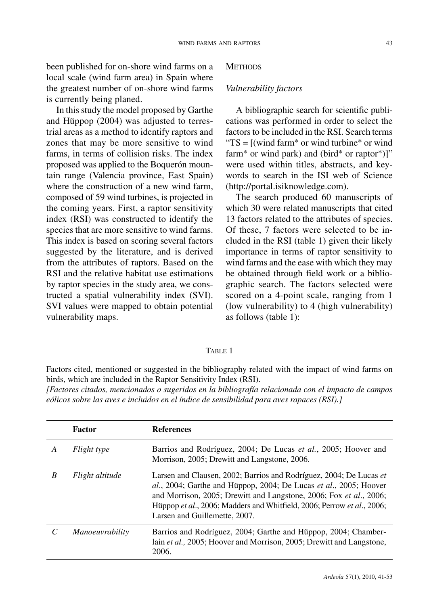been published for on-shore wind farms on a local scale (wind farm area) in Spain where the greatest number of on-shore wind farms is currently being planed.

In thisstudy the model proposed by Garthe and Hüppop (2004) was adjusted to terrestrial areas as a method to identify raptors and zones that may be more sensitive to wind farms, in terms of collision risks. The index proposed was applied to the Boquerón mountain range (Valencia province, East Spain) where the construction of a new wind farm, composed of 59 wind turbines, is projected in the coming years. First, a raptor sensitivity index (RSI) was constructed to identify the species that are more sensitive to wind farms. This index is based on scoring several factors suggested by the literature, and is derived from the attributes of raptors. Based on the RSI and the relative habitat use estimations by raptor species in the study area, we constructed a spatial vulnerability index (SVI). SVI values were mapped to obtain potential vulnerability maps.

#### **METHODS**

## *Vulnerability factors*

A bibliographic search for scientific publications was performed in order to select the factors to be included in the RSI. Search terms " $TS = [(wind farm* or wind turbine* or wind$ farm<sup>\*</sup> or wind park) and (bird<sup>\*</sup> or raptor<sup>\*</sup>)]" were used within titles, abstracts, and keywords to search in the ISI web of Science (http://portal.isiknowledge.com).

The search produced 60 manuscripts of which 30 were related manuscripts that cited 13 factors related to the attributes of species. Of these, 7 factors were selected to be included in the RSI (table 1) given their likely importance in terms of raptor sensitivity to wind farms and the ease with which they may be obtained through field work or a bibliographic search. The factors selected were scored on a 4-point scale, ranging from 1 (low vulnerability) to 4 (high vulnerability) as follows (table 1):

## TABLE 1

Factors cited, mentioned or suggested in the bibliography related with the impact of wind farms on birds, which are included in the Raptor Sensitivity Index (RSI).

*[Factores citados, mencionados o sugeridos en la bibliografía relacionada con el impacto de campos eólicos sobre las aves e incluidos en el índice de sensibilidad para aves rapaces (RSI).]*

|   | Factor                 | <b>References</b>                                                                                                                                                                                                                                                                                                        |
|---|------------------------|--------------------------------------------------------------------------------------------------------------------------------------------------------------------------------------------------------------------------------------------------------------------------------------------------------------------------|
| A | Flight type            | Barrios and Rodríguez, 2004; De Lucas et al., 2005; Hoover and<br>Morrison, 2005; Drewitt and Langstone, 2006.                                                                                                                                                                                                           |
| B | Flight altitude        | Larsen and Clausen, 2002; Barrios and Rodríguez, 2004; De Lucas et<br>al., 2004; Garthe and Hüppop, 2004; De Lucas et al., 2005; Hoover<br>and Morrison, 2005; Drewitt and Langstone, 2006; Fox et al., 2006;<br>Hüppop et al., 2006; Madders and Whitfield, 2006; Perrow et al., 2006;<br>Larsen and Guillemette, 2007. |
|   | <i>Manoeuvrability</i> | Barrios and Rodríguez, 2004; Garthe and Hüppop, 2004; Chamber-<br>lain et al., 2005; Hoover and Morrison, 2005; Drewitt and Langstone,<br>2006.                                                                                                                                                                          |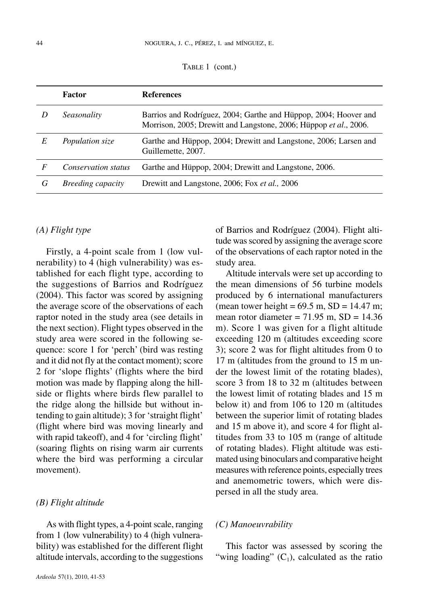TABLE 1 (cont.)

|   | <b>Factor</b>            | <b>References</b>                                                                                                                     |
|---|--------------------------|---------------------------------------------------------------------------------------------------------------------------------------|
| D | Seasonality              | Barrios and Rodríguez, 2004; Garthe and Hüppop, 2004; Hoover and<br>Morrison, 2005; Drewitt and Langstone, 2006; Hüppop et al., 2006. |
| E | Population size          | Garthe and Hüppop, 2004; Drewitt and Langstone, 2006; Larsen and<br>Guillemette, 2007.                                                |
| F | Conservation status      | Garthe and Hüppop, 2004; Drewitt and Langstone, 2006.                                                                                 |
| G | <i>Breeding capacity</i> | Drewitt and Langstone, 2006; Fox et al., 2006                                                                                         |

## *(A) Flight type*

Firstly, a 4-point scale from 1 (low vulnerability) to 4 (high vulnerability) was established for each flight type, according to the suggestions of Barrios and Rodríguez (2004). This factor was scored by assigning the average score of the observations of each raptor noted in the study area (see details in the next section). Flight types observed in the study area were scored in the following sequence: score 1 for 'perch' (bird was resting and it did not fly at the contact moment); score 2 for 'slope flights' (flights where the bird motion was made by flapping along the hillside or flights where birds flew parallel to the ridge along the hillside but without intending to gain altitude); 3 for 'straight flight' (flight where bird was moving linearly and with rapid takeoff), and 4 for 'circling flight' (soaring flights on rising warm air currents where the bird was performing a circular movement).

#### *(B) Flight altitude*

As with flight types, a 4-point scale, ranging from 1 (low vulnerability) to 4 (high vulnerability) was established for the different flight altitude intervals, according to the suggestions

of Barrios and Rodríguez (2004). Flight altitude was scored by assigning the average score of the observations of each raptor noted in the study area.

Altitude intervals were set up according to the mean dimensions of 56 turbine models produced by 6 international manufacturers (mean tower height =  $69.5$  m, SD = 14.47 m; mean rotor diameter  $= 71.95$  m,  $SD = 14.36$ m). Score 1 was given for a flight altitude exceeding 120 m (altitudes exceeding score 3); score 2 was for flight altitudes from 0 to 17 m (altitudes from the ground to 15 m under the lowest limit of the rotating blades), score 3 from 18 to 32 m (altitudes between the lowest limit of rotating blades and 15 m below it) and from 106 to 120 m (altitudes between the superior limit of rotating blades and 15 m above it), and score 4 for flight altitudes from 33 to 105 m (range of altitude of rotating blades). Flight altitude was estimated using binoculars and comparative height measures with reference points, especially trees and anemometric towers, which were dispersed in all the study area.

#### *(C) Manoeuvrability*

This factor was assessed by scoring the "wing loading"  $(C_1)$ , calculated as the ratio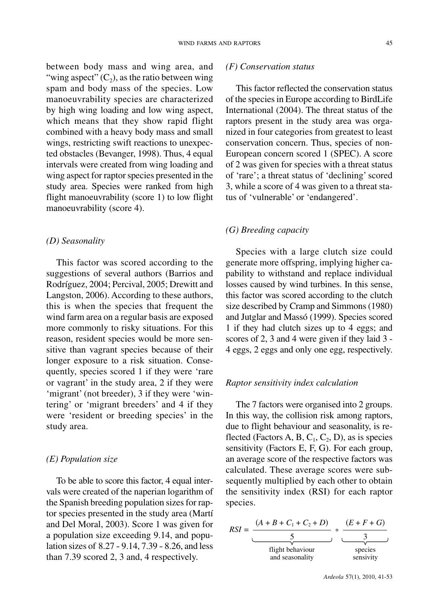between body mass and wing area, and "wing aspect"  $(C_2)$ , as the ratio between wing spam and body mass of the species. Low manoeuvrability species are characterized by high wing loading and low wing aspect, which means that they show rapid flight combined with a heavy body mass and small wings, restricting swift reactions to unexpected obstacles (Bevanger, 1998). Thus, 4 equal intervals were created from wing loading and wing aspect for raptor species presented in the study area. Species were ranked from high flight manoeuvrability (score 1) to low flight manoeuvrability (score 4).

#### *(D) Seasonality*

This factor was scored according to the suggestions of several authors (Barrios and Rodríguez, 2004; Percival, 2005; Drewitt and Langston, 2006). According to these authors, this is when the species that frequent the wind farm area on a regular basis are exposed more commonly to risky situations. For this reason, resident species would be more sensitive than vagrant species because of their longer exposure to a risk situation. Consequently, species scored 1 if they were 'rare or vagrant' in the study area, 2 if they were 'migrant' (not breeder), 3 if they were 'wintering' or 'migrant breeders' and 4 if they were 'resident or breeding species' in the study area.

#### *(E) Population size*

To be able to score this factor, 4 equal intervals were created of the naperian logarithm of the Spanish breeding population sizes for raptor species presented in the study area (Martí and Del Moral, 2003). Score 1 was given for a population size exceeding 9.14, and population sizes of 8.27 - 9.14, 7.39 - 8.26, and less than 7.39 scored 2, 3 and, 4 respectively.

## *(F) Conservation status*

This factor reflected the conservation status of the speciesin Europe according to BirdLife International (2004). The threat status of the raptors present in the study area was organized in four categories from greatest to least conservation concern. Thus, species of non-European concern scored 1 (SPEC). A score of 2 was given for species with a threat status of 'rare'; a threat status of 'declining'scored 3, while a score of 4 was given to a threat status of 'vulnerable' or 'endangered'.

## *(G) Breeding capacity*

Species with a large clutch size could generate more offspring, implying higher capability to withstand and replace individual losses caused by wind turbines. In this sense, this factor was scored according to the clutch size described by Cramp and Simmons (1980) and Jutglar and Massó (1999). Species scored 1 if they had clutch sizes up to 4 eggs; and scores of 2, 3 and 4 were given if they laid 3 - 4 eggs, 2 eggs and only one egg, respectively.

## *Raptor sensitivity index calculation*

The 7 factors were organised into 2 groups. In this way, the collision risk among raptors, due to flight behaviour and seasonality, is reflected (Factors A, B,  $C_1$ ,  $C_2$ , D), as is species sensitivity (Factors E, F, G). For each group, an average score of the respective factors was calculated. These average scores were subsequently multiplied by each other to obtain the sensitivity index (RSI) for each raptor species.

$$
RSI = \frac{(A + B + C_1 + C_2 + D)}{\underbrace{5}_{\text{flight behaviour}}}
$$
 \* 
$$
\underbrace{\frac{(E + F + G)}{3}}_{\text{species}
$$
 and seasonality}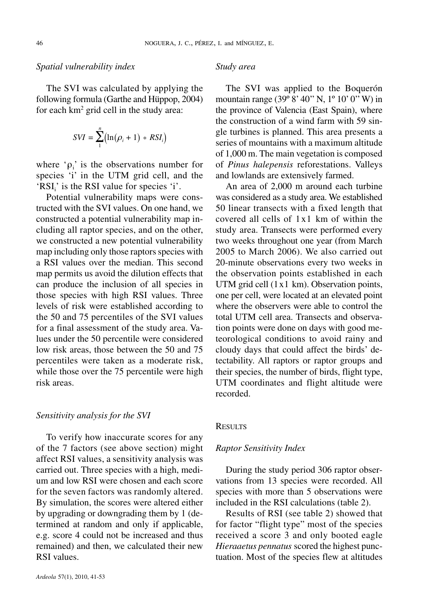#### *Spatial vulnerability index*

The SVI was calculated by applying the following formula (Garthe and Hüppop, 2004) for each  $km^2$  grid cell in the study area:

$$
SVI = \sum_{1}^{n} (\ln(\rho_i + 1) * RSI_i)
$$

where ' $\rho_i$ ' is the observations number for species 'i' in the UTM grid cell, and the 'RSI $_i$ ' is the RSI value for species 'i'.

Potential vulnerability maps were constructed with the SVI values. On one hand, we constructed a potential vulnerability map including all raptor species, and on the other, we constructed a new potential vulnerability map including only those raptors species with a RSI values over the median. This second map permits us avoid the dilution effects that can produce the inclusion of all species in those species with high RSI values. Three levels of risk were established according to the 50 and 75 percentiles of the SVI values for a final assessment of the study area. Values under the 50 percentile were considered low risk areas, those between the 50 and 75 percentiles were taken as a moderate risk, while those over the 75 percentile were high risk areas.

#### *Sensitivity analysis for the SVI*

To verify how inaccurate scores for any of the 7 factors (see above section) might affect RSI values, a sensitivity analysis was carried out. Three species with a high, medium and low RSI were chosen and each score for the seven factors was randomly altered. By simulation, the scores were altered either by upgrading or downgrading them by 1 (determined at random and only if applicable, e.g. score 4 could not be increased and thus remained) and then, we calculated their new RSI values.

#### *Study area*

The SVI was applied to the Boquerón mountain range (39° 8' 40" N, 1° 10' 0" W) in the province of Valencia (East Spain), where the construction of a wind farm with 59 single turbines is planned. This area presents a series of mountains with a maximum altitude of 1,000 m. The main vegetation is composed of *Pinus halepensis* reforestations. Valleys and lowlands are extensively farmed.

An area of 2,000 m around each turbine was considered as a study area. We established 50 linear transects with a fixed length that covered all cells of 1x1 km of within the study area. Transects were performed every two weeks throughout one year (from March 2005 to March 2006). We also carried out 20-minute observations every two weeks in the observation points established in each UTM grid cell  $(1x1 km)$ . Observation points, one per cell, were located at an elevated point where the observers were able to control the total UTM cell area. Transects and observation points were done on days with good meteorological conditions to avoid rainy and cloudy days that could affect the birds' detectability. All raptors or raptor groups and their species, the number of birds, flight type, UTM coordinates and flight altitude were recorded.

#### **RESULTS**

#### *Raptor Sensitivity Index*

During the study period 306 raptor observations from 13 species were recorded. All species with more than 5 observations were included in the RSI calculations (table 2).

Results of RSI (see table 2) showed that for factor "flight type" most of the species received a score 3 and only booted eagle *Hieraaetus pennatus* scored the highest punctuation. Most of the species flew at altitudes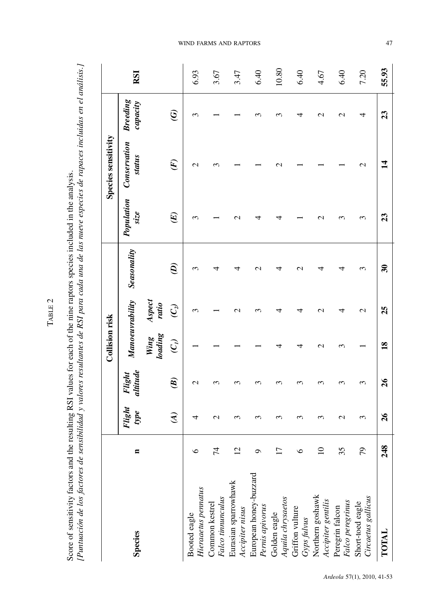|                                                                                                                                                                                                                  | resultant of a DCI paper of a lot mugue de locument de la papacitation de incluidación de antigio<br>to Teometraneo de Tour Poula entre de la copección de la contrata en la contrata de la contrata en la citatura |
|------------------------------------------------------------------------------------------------------------------------------------------------------------------------------------------------------------------|---------------------------------------------------------------------------------------------------------------------------------------------------------------------------------------------------------------------|
|                                                                                                                                                                                                                  |                                                                                                                                                                                                                     |
|                                                                                                                                                                                                                  |                                                                                                                                                                                                                     |
|                                                                                                                                                                                                                  |                                                                                                                                                                                                                     |
|                                                                                                                                                                                                                  |                                                                                                                                                                                                                     |
|                                                                                                                                                                                                                  |                                                                                                                                                                                                                     |
|                                                                                                                                                                                                                  |                                                                                                                                                                                                                     |
|                                                                                                                                                                                                                  |                                                                                                                                                                                                                     |
|                                                                                                                                                                                                                  |                                                                                                                                                                                                                     |
|                                                                                                                                                                                                                  |                                                                                                                                                                                                                     |
| " CECA HIS ALLE WARRANT CARAGE CEAN AND THE ANGLE OF THE ANGLE OF THE ANGLE OF THE ALLE AND THE LOST SHIFT OF T<br>$\alpha$ n $\alpha$ DCI solines for each of the nine rantors snecies included in the analysic | $-200$ $-200$ $-100$ $-100$ $-100$<br>a construction of the construction                                                                                                                                            |
|                                                                                                                                                                                                                  |                                                                                                                                                                                                                     |
|                                                                                                                                                                                                                  |                                                                                                                                                                                                                     |
|                                                                                                                                                                                                                  |                                                                                                                                                                                                                     |
|                                                                                                                                                                                                                  |                                                                                                                                                                                                                     |
|                                                                                                                                                                                                                  |                                                                                                                                                                                                                     |
| ווספיי מח                                                                                                                                                                                                        | こくさく                                                                                                                                                                                                                |
|                                                                                                                                                                                                                  |                                                                                                                                                                                                                     |
|                                                                                                                                                                                                                  |                                                                                                                                                                                                                     |
|                                                                                                                                                                                                                  |                                                                                                                                                                                                                     |
|                                                                                                                                                                                                                  |                                                                                                                                                                                                                     |
|                                                                                                                                                                                                                  |                                                                                                                                                                                                                     |
|                                                                                                                                                                                                                  |                                                                                                                                                                                                                     |
|                                                                                                                                                                                                                  |                                                                                                                                                                                                                     |
|                                                                                                                                                                                                                  |                                                                                                                                                                                                                     |
|                                                                                                                                                                                                                  |                                                                                                                                                                                                                     |
|                                                                                                                                                                                                                  |                                                                                                                                                                                                                     |
|                                                                                                                                                                                                                  |                                                                                                                                                                                                                     |
|                                                                                                                                                                                                                  |                                                                                                                                                                                                                     |
|                                                                                                                                                                                                                  |                                                                                                                                                                                                                     |
|                                                                                                                                                                                                                  |                                                                                                                                                                                                                     |
|                                                                                                                                                                                                                  |                                                                                                                                                                                                                     |
|                                                                                                                                                                                                                  | I                                                                                                                                                                                                                   |
|                                                                                                                                                                                                                  |                                                                                                                                                                                                                     |

TABLE 2

|                                                                                                                   |                 |                      |                    | <b>Collision risk</b>                |                   |                             |                    | <b>Species sensitivity</b> |                             |       |
|-------------------------------------------------------------------------------------------------------------------|-----------------|----------------------|--------------------|--------------------------------------|-------------------|-----------------------------|--------------------|----------------------------|-----------------------------|-------|
| <b>Species</b>                                                                                                    | п               | Flight<br>$\it type$ | Flight<br>altitude | Manoeuvrability                      |                   | Seasonality                 | Population<br>size | Conservation<br>status     | <b>Breeding</b><br>capacity | RSI   |
|                                                                                                                   |                 |                      |                    | <b><i>loading</i></b><br><b>Wing</b> | Aspect<br>ratio   |                             |                    |                            |                             |       |
|                                                                                                                   |                 | $\widehat{A}$        | $\mathcal{E}$      | $\overline{C}_l$                     | $\widehat{C}_{2}$ | $\widehat{e}$               | $(\mathbb{E})$     | $\overline{F}$             | $\widehat{\mathfrak{S}}$    |       |
|                                                                                                                   | ७               | 4                    | $\mathrel{\sim}$   |                                      | S                 | 3                           | ∾                  | $\mathcal{L}$              | ς                           | 6.93  |
| Booted eagle<br>Hieraaetus pennatus<br>Common kestrel<br>Falco tinnuncullus                                       | 74              | $\mathbf 2$          | ↶                  |                                      |                   | 4                           |                    | 3                          |                             | 3.67  |
| Eurasian sparrowhawk<br>Accipiter nisus                                                                           | $\overline{2}$  | $\mathfrak{g}$       |                    |                                      | $\mathbf{\sim}$   | 4                           | $\mathrel{\sim}$   |                            |                             | 3.47  |
| European honey-buzzard<br>Pernis apivorus<br>Golden eagle<br>Aquila chrysaetos<br>Criffon vulture<br>Cryps fulvus | σ               | 3                    |                    |                                      | ς                 | $\mathcal{C}$               | ₹                  |                            |                             | 6.40  |
|                                                                                                                   | $\overline{17}$ | 3                    | ↶                  |                                      | 4                 | 4                           | ↽                  | $\sim$                     |                             | 10.80 |
|                                                                                                                   | ७               | 3                    |                    | 4                                    | 4                 | $\mathrel{\sim}$            |                    |                            | ₹                           | 6.40  |
|                                                                                                                   | $\supseteq$     | ξ                    | S                  | $\mathrel{\sim}$                     | $\mathbf{\sim}$   | 4                           | N                  |                            | $\mathrel{\sim}$            | 4.67  |
| Northern goshawk<br>Accipiter gentilis<br>Peregrin falcon<br>Falco peregrinus<br>Khort-toed eagle                 | 35              | $\mathbf 2$          |                    | 3                                    | 4                 | 4                           | ς                  |                            | $\mathcal{C}$               | 6.40  |
| Circaetus gallicus                                                                                                | 79              | 3                    | 3                  |                                      | $\mathcal{C}$     | 3                           | 3                  | 2                          | 4                           | 7.20  |
| TOTAL                                                                                                             | 248             | $\mathfrak{d}$       | $\frac{26}{5}$     | $\overline{\mathbf{3}}$              | 25                | $\boldsymbol{\mathfrak{F}}$ | 23                 | $\overline{\mathbf{1}}$    | $\mathbf{z}$                | 55.93 |

WIND FARMS AND RAPTORS

4 7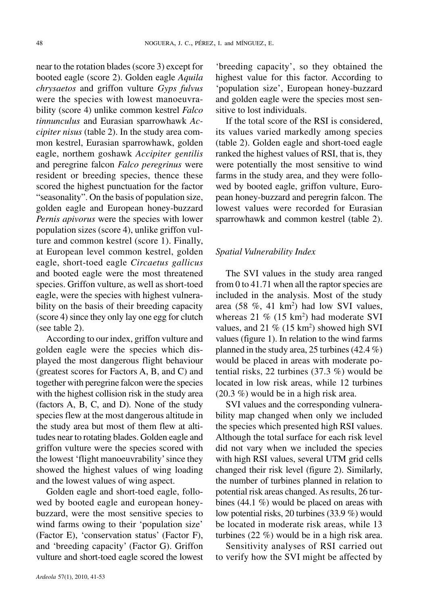near to the rotation blades(score 3) except for booted eagle (score 2). Golden eagle *Aquila chrysaetos* and griffon vulture *Gyps fulvus* were the species with lowest manoeuvrability (score 4) unlike common kestrel *Falco tinnunculus* and Eurasian sparrowhawk *Accipiter nisus* (table 2). In the study area common kestrel, Eurasian sparrowhawk, golden eagle, northem goshawk *Accipiter gentilis* and peregrine falcon *Falco peregrinus* were resident or breeding species, thence these scored the highest punctuation for the factor "seasonality". On the basis of population size, golden eagle and European honey-buzzard *Pernis apivorus* were the species with lower population sizes (score 4), unlike griffon vulture and common kestrel (score 1). Finally, at European level common kestrel, golden eagle, short-toed eagle *Circaetus gallicus* and booted eagle were the most threatened species. Griffon vulture, as well as short-toed eagle, were the species with highest vulnerability on the basis of their breeding capacity  $(\text{score } 4)$  since they only lay one egg for clutch (see table 2).

According to our index, griffon vulture and golden eagle were the species which displayed the most dangerous flight behaviour (greatest scores for Factors A, B, and C) and together with peregrine falcon were the species with the highest collision risk in the study area (factors A, B, C, and D). None of the study species flew at the most dangerous altitude in the study area but most of them flew at altitudes near to rotating blades. Golden eagle and griffon vulture were the species scored with the lowest 'flight manoeuvrability'since they showed the highest values of wing loading and the lowest values of wing aspect.

Golden eagle and short-toed eagle, followed by booted eagle and european honeybuzzard, were the most sensitive species to wind farms owing to their 'population size' (Factor E), 'conservation status' (Factor F), and 'breeding capacity' (Factor G). Griffon vulture and short-toed eagle scored the lowest 'breeding capacity', so they obtained the highest value for this factor. According to 'population size', European honey-buzzard and golden eagle were the species most sensitive to lost individuals.

If the total score of the RSI is considered, its values varied markedly among species (table 2). Golden eagle and short-toed eagle ranked the highest values of RSI, that is, they were potentially the most sensitive to wind farms in the study area, and they were followed by booted eagle, griffon vulture, European honey-buzzard and peregrin falcon. The lowest values were recorded for Eurasian sparrowhawk and common kestrel (table 2).

#### *Spatial Vulnerability Index*

The SVI values in the study area ranged from 0 to 41.71 when all the raptor species are included in the analysis. Most of the study area  $(58 \% , 41 \text{ km}^2)$  had low SVI values, whereas  $21\%$  (15 km<sup>2</sup>) had moderate SVI values, and  $21\%$  (15 km<sup>2</sup>) showed high SVI values (figure 1). In relation to the wind farms planned in the study area, 25 turbines  $(42.4\%)$ would be placed in areas with moderate potential risks, 22 turbines (37.3 %) would be located in low risk areas, while 12 turbines (20.3 %) would be in a high risk area.

SVI values and the corresponding vulnerability map changed when only we included the species which presented high RSI values. Although the total surface for each risk level did not vary when we included the species with high RSI values, several UTM grid cells changed their risk level (figure 2). Similarly, the number of turbines planned in relation to potential risk areas changed. As results, 26 turbines (44.1 %) would be placed on areas with low potential risks, 20 turbines (33.9 %) would be located in moderate risk areas, while 13 turbines (22 %) would be in a high risk area.

Sensitivity analyses of RSI carried out to verify how the SVI might be affected by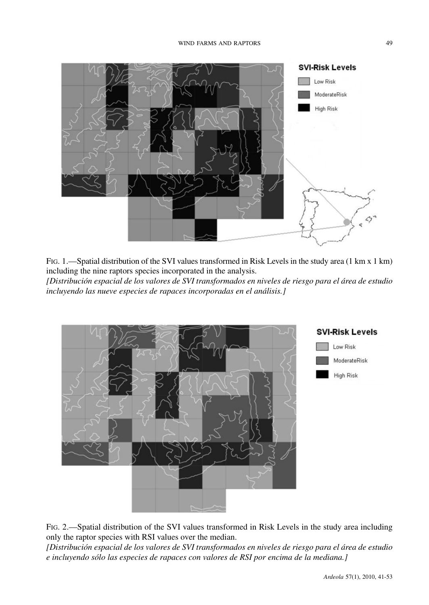

FIG. 1.—Spatial distribution of the SVI values transformed in Risk Levels in the study area (1 km x 1 km) including the nine raptors species incorporated in the analysis. *[Distribución espacial de los valores de SVI transformados en niveles de riesgo para el área de estudio incluyendo las nueve especies de rapaces incorporadas en el análisis.]*



FIG. 2.—Spatial distribution of the SVI values transformed in Risk Levels in the study area including only the raptor species with RSI values over the median.

*[Distribución espacial de los valores de SVI transformados en niveles de riesgo para el área de estudio e incluyendo sólo las especies de rapaces con valores de RSI por encima de la mediana.]*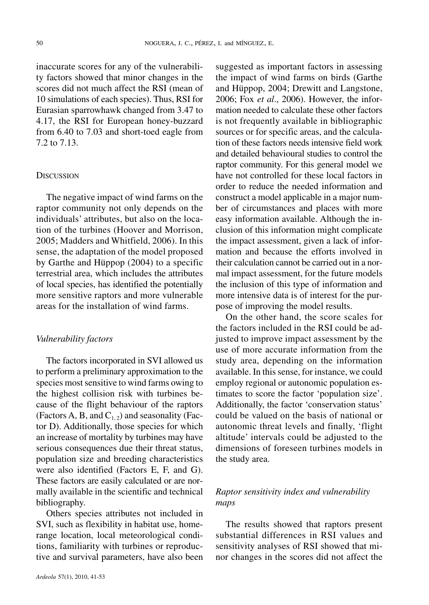inaccurate scores for any of the vulnerability factors showed that minor changes in the scores did not much affect the RSI (mean of 10 simulations of each species). Thus, RSI for Eurasian sparrowhawk changed from 3.47 to 4.17, the RSI for European honey-buzzard from 6.40 to 7.03 and short-toed eagle from 7.2 to 7.13.

## **DISCUSSION**

The negative impact of wind farms on the raptor community not only depends on the individuals' attributes, but also on the location of the turbines (Hoover and Morrison, 2005; Madders and Whitfield, 2006). In this sense, the adaptation of the model proposed by Garthe and Hüppop (2004) to a specific terrestrial area, which includes the attributes of local species, has identified the potentially more sensitive raptors and more vulnerable areas for the installation of wind farms.

#### *Vulnerability factors*

The factors incorporated in SVI allowed us to perform a preliminary approximation to the species most sensitive to wind farms owing to the highest collision risk with turbines because of the flight behaviour of the raptors (Factors A, B, and  $C_{1,2}$ ) and seasonality (Factor D). Additionally, those species for which an increase of mortality by turbines may have serious consequences due their threat status, population size and breeding characteristics were also identified (Factors E, F, and G). These factors are easily calculated or are normally available in the scientific and technical bibliography.

Others species attributes not included in SVI, such as flexibility in habitat use, homerange location, local meteorological conditions, familiarity with turbines or reproductive and survival parameters, have also been

the impact of wind farms on birds (Garthe and Hüppop, 2004; Drewitt and Langstone, 2006; Fox *et al*., 2006). However, the information needed to calculate these other factors is not frequently available in bibliographic sources or for specific areas, and the calculation of these factors needs intensive field work and detailed behavioural studies to control the raptor community. For this general model we have not controlled for these local factors in order to reduce the needed information and construct a model applicable in a major number of circumstances and places with more easy information available. Although the inclusion of this information might complicate the impact assessment, given a lack of information and because the efforts involved in their calculation cannot be carried out in a normal impact assessment, for the future models the inclusion of this type of information and more intensive data is of interest for the purpose of improving the model results.

suggested as important factors in assessing

On the other hand, the score scales for the factors included in the RSI could be adjusted to improve impact assessment by the use of more accurate information from the study area, depending on the information available. In this sense, for instance, we could employ regional or autonomic population estimates to score the factor 'population size'. Additionally, the factor 'conservation status' could be valued on the basis of national or autonomic threat levels and finally, 'flight altitude' intervals could be adjusted to the dimensions of foreseen turbines models in the study area.

## *Raptor sensitivity index and vulnerability maps*

The results showed that raptors present substantial differences in RSI values and sensitivity analyses of RSI showed that minor changes in the scores did not affect the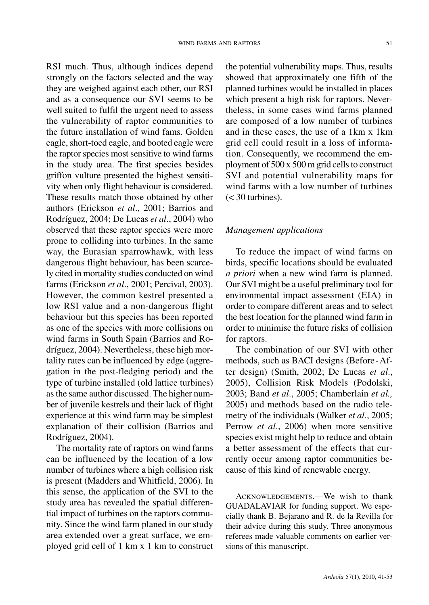RSI much. Thus, although indices depend strongly on the factors selected and the way they are weighed against each other, our RSI and as a consequence our SVI seems to be well suited to fulfil the urgent need to assess the vulnerability of raptor communities to the future installation of wind fams. Golden eagle, short-toed eagle, and booted eagle were the raptor species most sensitive to wind farms in the study area. The first species besides griffon vulture presented the highest sensitivity when only flight behaviour is considered. These results match those obtained by other authors (Erickson *et al*., 2001; Barrios and Rodríguez, 2004; De Lucas *et al*., 2004) who observed that these raptor species were more prone to colliding into turbines. In the same way, the Eurasian sparrowhawk, with less dangerous flight behaviour, has been scarcely cited in mortality studies conducted on wind farms (Erickson *et al*., 2001; Percival, 2003). However, the common kestrel presented a low RSI value and a non-dangerous flight behaviour but this species has been reported as one of the species with more collisions on wind farms in South Spain (Barrios and Rodríguez, 2004). Nevertheless, these high mortality rates can be influenced by edge (aggregation in the post-fledging period) and the type of turbine installed (old lattice turbines) asthe same author discussed. The higher number of juvenile kestrels and their lack of flight experience at this wind farm may be simplest explanation of their collision (Barrios and Rodríguez, 2004).

The mortality rate of raptors on wind farms can be influenced by the location of a low number of turbines where a high collision risk is present (Madders and Whitfield, 2006). In this sense, the application of the SVI to the study area has revealed the spatial differential impact of turbines on the raptors community. Since the wind farm planed in our study area extended over a great surface, we employed grid cell of 1 km x 1 km to construct

the potential vulnerability maps. Thus, results showed that approximately one fifth of the planned turbines would be installed in places which present a high risk for raptors. Nevertheless, in some cases wind farms planned are composed of a low number of turbines and in these cases, the use of a 1km x 1km grid cell could result in a loss of information. Consequently, we recommend the employment of  $500 \times 500$  m grid cells to construct SVI and potential vulnerability maps for wind farms with a low number of turbines  $(< 30$  turbines).

## *Management applications*

To reduce the impact of wind farms on birds, specific locations should be evaluated *a priori* when a new wind farm is planned. Our SVI might be a useful preliminary tool for environmental impact assessment (EIA) in order to compare different areas and to select the best location for the planned wind farm in order to minimise the future risks of collision for raptors.

The combination of our SVI with other methods, such as BACI designs (Before-After design) (Smith, 2002; De Lucas *et al*., 2005), Collision Risk Models (Podolski, 2003; Band *et al*., 2005; Chamberlain *et al.,* 2005) and methods based on the radio telemetry of the individuals (Walker *et al*., 2005; Perrow *et al*., 2006) when more sensitive species exist might help to reduce and obtain a better assessment of the effects that currently occur among raptor communities because of this kind of renewable energy.

ACKNOWLEDGEMENTS.—We wish to thank GUADALAVIAR for funding support. We especially thank B. Bejarano and R. de la Revilla for their advice during this study. Three anonymous referees made valuable comments on earlier versions of this manuscript.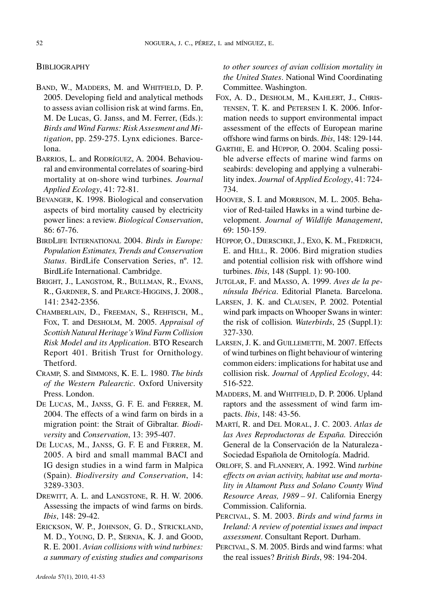#### **BIBLIOGRAPHY**

- BAND, W., MADDERS, M. and WHITFIELD, D. P. 2005. Developing field and analytical methods to assess avian collision risk at wind farms. En, M. De Lucas, G. Janss, and M. Ferrer, (Eds.): *Birds and Wind Farms: Risk Assesment and Mitigation*, pp. 259-275. Lynx ediciones. Barcelona.
- BARRIOS, L. and RODRÍGUEZ, A. 2004. Behavioural and environmental correlates of soaring-bird mortality at on-shore wind turbines*. Journal Applied Ecology*, 41: 72-81.
- BEVANGER, K. 1998. Biological and conservation aspects of bird mortality caused by electricity power lines: a review. *Biological Conservation*, 86: 67-76.
- BIRDLIFE INTERNATIONAL 2004. *Birds in Europe: Population Estimates, Trends and Conservation Status*. BirdLife Conservation Series, nº. 12. BirdLife International. Cambridge.
- BRIGHT, J., LANGSTOM, R., BULLMAN, R., EVANS, R., GARDNER, S. and PEARCE-HIGGINS, J. 2008., 141: 2342-2356.
- CHAMBERLAIN, D., FREEMAN, S., REHFISCH, M., FOX, T. and DESHOLM, M. 2005. *Appraisal of Scottish Natural Heritage'sWind Farm Collision Risk Model and its Application*. BTO Research Report 401. British Trust for Ornithology. Thetford.
- CRAMP, S. and SIMMONS, K. E. L. 1980. *The birds of the Western Palearctic*. Oxford University Press. London.
- DE LUCAS, M., JANSS, G. F. E. and FERRER, M. 2004. The effects of a wind farm on birds in a migration point: the Strait of Gibraltar. *Biodiversity* and *Conservation*, 13: 395-407.
- DE LUCAS, M., JANSS, G. F. E and FERRER, M. 2005. A bird and small mammal BACI and IG design studies in a wind farm in Malpica (Spain). *Biodiversity and Conservation*, 14: 3289-3303.
- DREWITT, A. L. and LANGSTONE, R. H. W. 2006. Assessing the impacts of wind farms on birds. *Ibis*, 148: 29-42.
- ERICKSON, W. P., JOHNSON, G. D., STRICKLAND, M. D., YOUNG, D. P., SERNJA, K. J. and GOOD, R. E. 2001. *Avian collisions with wind turbines: a summary of existing studies and comparisons*

*to other sources of avian collision mortality in the United States*. National Wind Coordinating Committee. Washington.

- FOX, A. D., DESHOLM, M., KAHLERT, J., CHRIS-TENSEN, T. K. and PETERSEN I. K. 2006. Information needs to support environmental impact assessment of the effects of European marine offshore wind farms on birds. *Ibis*, 148: 129-144.
- GARTHE, E. and HÜPPOP, O. 2004. Scaling possible adverse effects of marine wind farms on seabirds: developing and applying a vulnerability index. *Journal* of *Applied Ecology*, 41: 724- 734.
- HOOVER, S. I. and MORRISON, M. L. 2005. Behavior of Red-tailed Hawks in a wind turbine development. *Journal of Wildlif*e *Management*, 69: 150-159.
- HÜPPOP, O., DIERSCHKE, J., EXO, K. M., FREDRICH, E. and HILL, R. 2006. Bird migration studies and potential collision risk with offshore wind turbines. *Ibis*, 148 (Suppl. 1): 90-100.
- JUTGLAR, F. and MASSO, A. 1999. *Aves de la península Ibérica*. Editorial Planeta. Barcelona.
- LARSEN, J. K. and CLAUSEN, P. 2002. Potential wind park impacts on Whooper Swans in winter: the risk of collision*. Waterbirds*, 25 (Suppl.1): 327-330.
- LARSEN, J. K. and GUILLEMETTE, M. 2007. Effects of wind turbines on flight behaviour of wintering common eiders: implications for habitat use and collision risk. *Journal* of *Applied Ecology*, 44: 516-522.
- MADDERS, M. and WHITFIELD, D. P. 2006. Upland raptors and the assessment of wind farm impacts. *Ibis*, 148: 43-56.
- MARTÍ, R. and DEL MORAL, J. C. 2003. *Atlas de las Aves Reproductoras de España.* Dirección General de la Conservación de la Naturaleza-Sociedad Española de Ornitología. Madrid.
- ORLOFF, S. and FLANNERY, A. 1992. Wind *turbine effects on avian activity, habitat use and mortality in Altamont Pass and Solano County Wind Resource Areas, 1989 – 91.* California Energy Commission. California.
- PERCIVAL, S. M. 2003. *Birds and wind farms in Ireland: A review of potential issues and impact assessment*. Consultant Report. Durham.
- PERCIVAL, S. M. 2005. Birds and wind farms: what the real issues? *British Birds*, 98: 194-204.